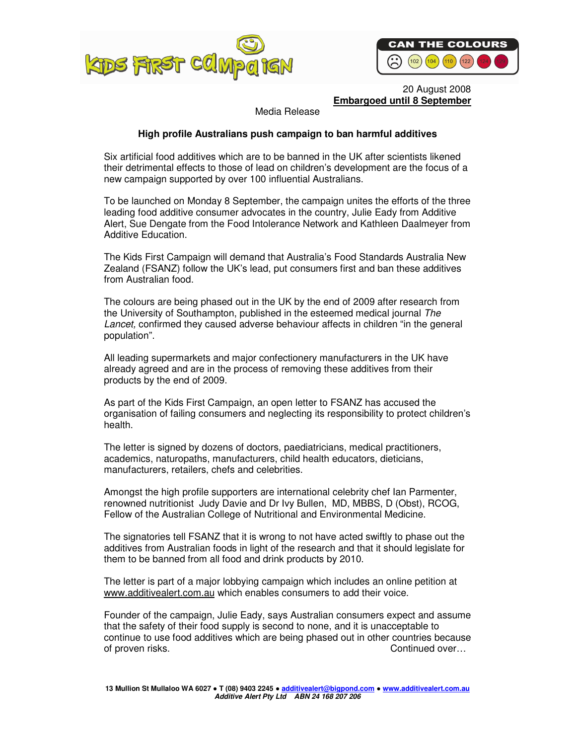



 20 August 2008 **Embargoed until 8 September**

Media Release

# **High profile Australians push campaign to ban harmful additives**

Six artificial food additives which are to be banned in the UK after scientists likened their detrimental effects to those of lead on children's development are the focus of a new campaign supported by over 100 influential Australians.

To be launched on Monday 8 September, the campaign unites the efforts of the three leading food additive consumer advocates in the country, Julie Eady from Additive Alert, Sue Dengate from the Food Intolerance Network and Kathleen Daalmeyer from Additive Education.

The Kids First Campaign will demand that Australia's Food Standards Australia New Zealand (FSANZ) follow the UK's lead, put consumers first and ban these additives from Australian food.

The colours are being phased out in the UK by the end of 2009 after research from the University of Southampton, published in the esteemed medical journal The Lancet, confirmed they caused adverse behaviour affects in children "in the general population".

All leading supermarkets and major confectionery manufacturers in the UK have already agreed and are in the process of removing these additives from their products by the end of 2009.

As part of the Kids First Campaign, an open letter to FSANZ has accused the organisation of failing consumers and neglecting its responsibility to protect children's health.

The letter is signed by dozens of doctors, paediatricians, medical practitioners, academics, naturopaths, manufacturers, child health educators, dieticians, manufacturers, retailers, chefs and celebrities.

Amongst the high profile supporters are international celebrity chef Ian Parmenter, renowned nutritionist Judy Davie and Dr Ivy Bullen, MD, MBBS, D (Obst), RCOG, Fellow of the Australian College of Nutritional and Environmental Medicine.

The signatories tell FSANZ that it is wrong to not have acted swiftly to phase out the additives from Australian foods in light of the research and that it should legislate for them to be banned from all food and drink products by 2010.

The letter is part of a major lobbying campaign which includes an online petition at www.additivealert.com.au which enables consumers to add their voice.

Founder of the campaign, Julie Eady, says Australian consumers expect and assume that the safety of their food supply is second to none, and it is unacceptable to continue to use food additives which are being phased out in other countries because of proven risks. Continued over…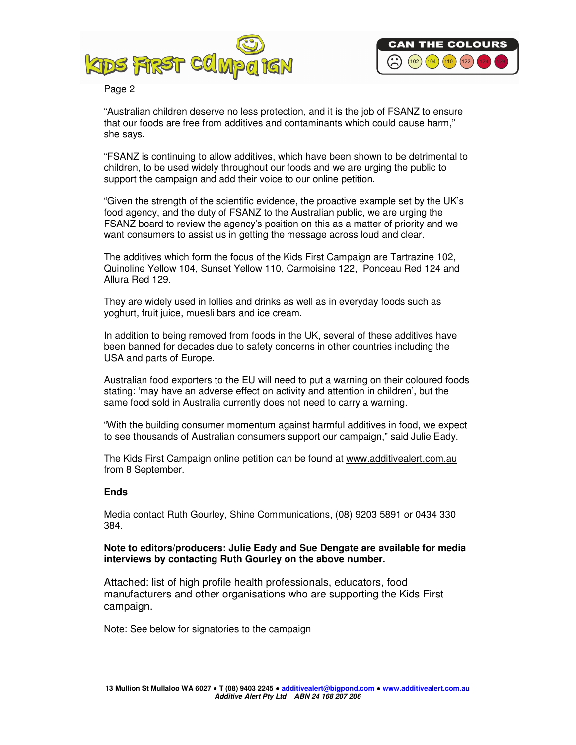



# Page 2

"Australian children deserve no less protection, and it is the job of FSANZ to ensure that our foods are free from additives and contaminants which could cause harm," she says.

"FSANZ is continuing to allow additives, which have been shown to be detrimental to children, to be used widely throughout our foods and we are urging the public to support the campaign and add their voice to our online petition.

"Given the strength of the scientific evidence, the proactive example set by the UK's food agency, and the duty of FSANZ to the Australian public, we are urging the FSANZ board to review the agency's position on this as a matter of priority and we want consumers to assist us in getting the message across loud and clear.

The additives which form the focus of the Kids First Campaign are Tartrazine 102, Quinoline Yellow 104, Sunset Yellow 110, Carmoisine 122, Ponceau Red 124 and Allura Red 129.

They are widely used in lollies and drinks as well as in everyday foods such as yoghurt, fruit juice, muesli bars and ice cream.

In addition to being removed from foods in the UK, several of these additives have been banned for decades due to safety concerns in other countries including the USA and parts of Europe.

Australian food exporters to the EU will need to put a warning on their coloured foods stating: 'may have an adverse effect on activity and attention in children', but the same food sold in Australia currently does not need to carry a warning.

"With the building consumer momentum against harmful additives in food, we expect to see thousands of Australian consumers support our campaign," said Julie Eady.

The Kids First Campaign online petition can be found at www.additivealert.com.au from 8 September.

### **Ends**

Media contact Ruth Gourley, Shine Communications, (08) 9203 5891 or 0434 330 384.

# **Note to editors/producers: Julie Eady and Sue Dengate are available for media interviews by contacting Ruth Gourley on the above number.**

Attached: list of high profile health professionals, educators, food manufacturers and other organisations who are supporting the Kids First campaign.

Note: See below for signatories to the campaign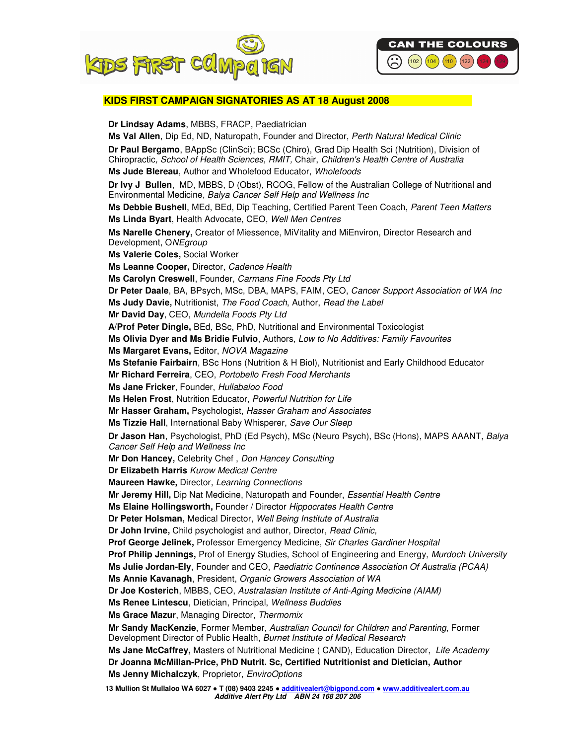



### **KIDS FIRST CAMPAIGN SIGNATORIES AS AT 18 August 2008**

**Dr Lindsay Adams**, MBBS, FRACP, Paediatrician **Ms Val Allen**, Dip Ed, ND, Naturopath, Founder and Director, Perth Natural Medical Clinic **Dr Paul Bergamo**, BAppSc (ClinSci); BCSc (Chiro), Grad Dip Health Sci (Nutrition), Division of Chiropractic, School of Health Sciences, RMIT, Chair, Children's Health Centre of Australia **Ms Jude Blereau**, Author and Wholefood Educator, Wholefoods **Dr Ivy J Bullen**, MD, MBBS, D (Obst), RCOG, Fellow of the Australian College of Nutritional and Environmental Medicine, Balya Cancer Self Help and Wellness Inc **Ms Debbie Bushell**, MEd, BEd, Dip Teaching, Certified Parent Teen Coach, Parent Teen Matters **Ms Linda Byart**, Health Advocate, CEO, Well Men Centres **Ms Narelle Chenery,** Creator of Miessence, MiVitality and MiEnviron, Director Research and Development, ONEgroup **Ms Valerie Coles,** Social Worker **Ms Leanne Cooper,** Director, Cadence Health **Ms Carolyn Creswell**, Founder, Carmans Fine Foods Pty Ltd **Dr Peter Daale**, BA, BPsych, MSc, DBA, MAPS, FAIM, CEO, Cancer Support Association of WA Inc **Ms Judy Davie,** Nutritionist, The Food Coach, Author, Read the Label **Mr David Day**, CEO, Mundella Foods Pty Ltd **A/Prof Peter Dingle,** BEd, BSc, PhD, Nutritional and Environmental Toxicologist **Ms Olivia Dyer and Ms Bridie Fulvio**, Authors, Low to No Additives: Family Favourites **Ms Margaret Evans,** Editor, NOVA Magazine **Ms Stefanie Fairbairn**, BSc Hons (Nutrition & H Biol), Nutritionist and Early Childhood Educator **Mr Richard Ferreira**, CEO, Portobello Fresh Food Merchants **Ms Jane Fricker**, Founder, Hullabaloo Food **Ms Helen Frost**, Nutrition Educator, Powerful Nutrition for Life **Mr Hasser Graham,** Psychologist, Hasser Graham and Associates **Ms Tizzie Hall**, International Baby Whisperer, Save Our Sleep **Dr Jason Han**, Psychologist, PhD (Ed Psych), MSc (Neuro Psych), BSc (Hons), MAPS AAANT, Balya Cancer Self Help and Wellness Inc **Mr Don Hancey,** Celebrity Chef , Don Hancey Consulting **Dr Elizabeth Harris** Kurow Medical Centre **Maureen Hawke,** Director, Learning Connections **Mr Jeremy Hill,** Dip Nat Medicine, Naturopath and Founder, Essential Health Centre **Ms Elaine Hollingsworth,** Founder / Director Hippocrates Health Centre **Dr Peter Holsman,** Medical Director, Well Being Institute of Australia **Dr John Irvine,** Child psychologist and author, Director, Read Clinic, **Prof George Jelinek,** Professor Emergency Medicine, Sir Charles Gardiner Hospital **Prof Philip Jennings,** Prof of Energy Studies, School of Engineering and Energy, Murdoch University **Ms Julie Jordan-Ely**, Founder and CEO, Paediatric Continence Association Of Australia (PCAA) **Ms Annie Kavanagh**, President, Organic Growers Association of WA **Dr Joe Kosterich**, MBBS, CEO, Australasian Institute of Anti-Aging Medicine (AIAM) **Ms Renee Lintescu**, Dietician, Principal, Wellness Buddies **Ms Grace Mazur**, Managing Director, Thermomix **Mr Sandy MacKenzie**, Former Member, Australian Council for Children and Parenting, Former Development Director of Public Health, Burnet Institute of Medical Research **Ms Jane McCaffrey,** Masters of Nutritional Medicine ( CAND), Education Director, Life Academy **Dr Joanna McMillan-Price, PhD Nutrit. Sc, Certified Nutritionist and Dietician, Author Ms Jenny Michalczyk**, Proprietor, EnviroOptions

**13 Mullion St Mullaloo WA 6027** ● **T (08) 9403 2245** ● **additivealert@bigpond.com** ● **www.additivealert.com.au Additive Alert Pty Ltd ABN 24 168 207 206**